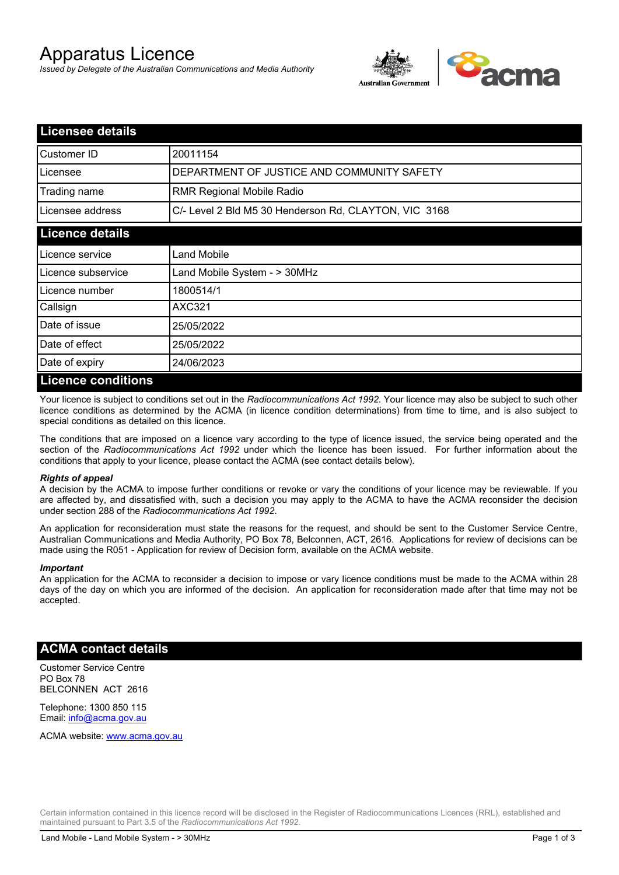# Apparatus Licence

*Issued by Delegate of the Australian Communications and Media Authority*



| <b>Licensee details</b> |                                                       |  |
|-------------------------|-------------------------------------------------------|--|
| Customer ID             | 20011154                                              |  |
| Licensee                | DEPARTMENT OF JUSTICE AND COMMUNITY SAFETY            |  |
| Trading name            | <b>RMR Regional Mobile Radio</b>                      |  |
| Licensee address        | C/- Level 2 Bld M5 30 Henderson Rd, CLAYTON, VIC 3168 |  |
| <b>Licence details</b>  |                                                       |  |
| l Licence service       | Land Mobile                                           |  |
| Licence subservice      | Land Mobile System - > 30MHz                          |  |
| Licence number          | 1800514/1                                             |  |
| Callsign                | <b>AXC321</b>                                         |  |
| Date of issue           | 25/05/2022                                            |  |
| Date of effect          | 25/05/2022                                            |  |
| Date of expiry          | 24/06/2023                                            |  |
| Licance conditions      |                                                       |  |

### **Licence conditions**

Your licence is subject to conditions set out in the *Radiocommunications Act 1992*. Your licence may also be subject to such other licence conditions as determined by the ACMA (in licence condition determinations) from time to time, and is also subject to special conditions as detailed on this licence.

The conditions that are imposed on a licence vary according to the type of licence issued, the service being operated and the section of the *Radiocommunications Act 1992* under which the licence has been issued. For further information about the conditions that apply to your licence, please contact the ACMA (see contact details below).

### *Rights of appeal*

A decision by the ACMA to impose further conditions or revoke or vary the conditions of your licence may be reviewable. If you are affected by, and dissatisfied with, such a decision you may apply to the ACMA to have the ACMA reconsider the decision under section 288 of the *Radiocommunications Act 1992*.

An application for reconsideration must state the reasons for the request, and should be sent to the Customer Service Centre, Australian Communications and Media Authority, PO Box 78, Belconnen, ACT, 2616. Applications for review of decisions can be made using the R051 - Application for review of Decision form, available on the ACMA website.

#### *Important*

An application for the ACMA to reconsider a decision to impose or vary licence conditions must be made to the ACMA within 28 days of the day on which you are informed of the decision. An application for reconsideration made after that time may not be accepted.

### **ACMA contact details**

Customer Service Centre PO Box 78 BELCONNEN ACT 2616

Telephone: 1300 850 115 Email: info@acma.gov.au

ACMA website: www.acma.gov.au

Certain information contained in this licence record will be disclosed in the Register of Radiocommunications Licences (RRL), established and maintained pursuant to Part 3.5 of the *Radiocommunications Act 1992.*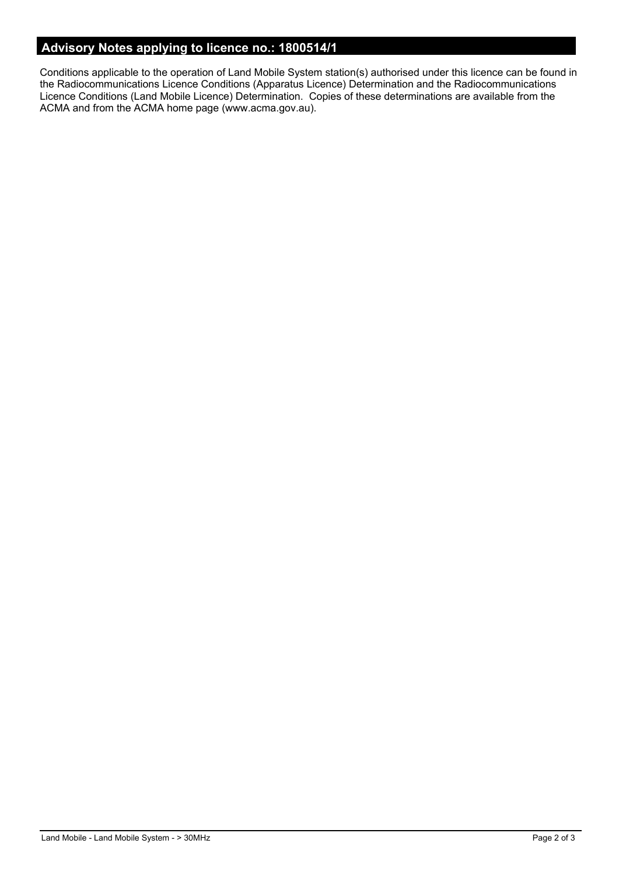## **Advisory Notes applying to licence no.: 1800514/1**

Conditions applicable to the operation of Land Mobile System station(s) authorised under this licence can be found in the Radiocommunications Licence Conditions (Apparatus Licence) Determination and the Radiocommunications Licence Conditions (Land Mobile Licence) Determination. Copies of these determinations are available from the ACMA and from the ACMA home page (www.acma.gov.au).